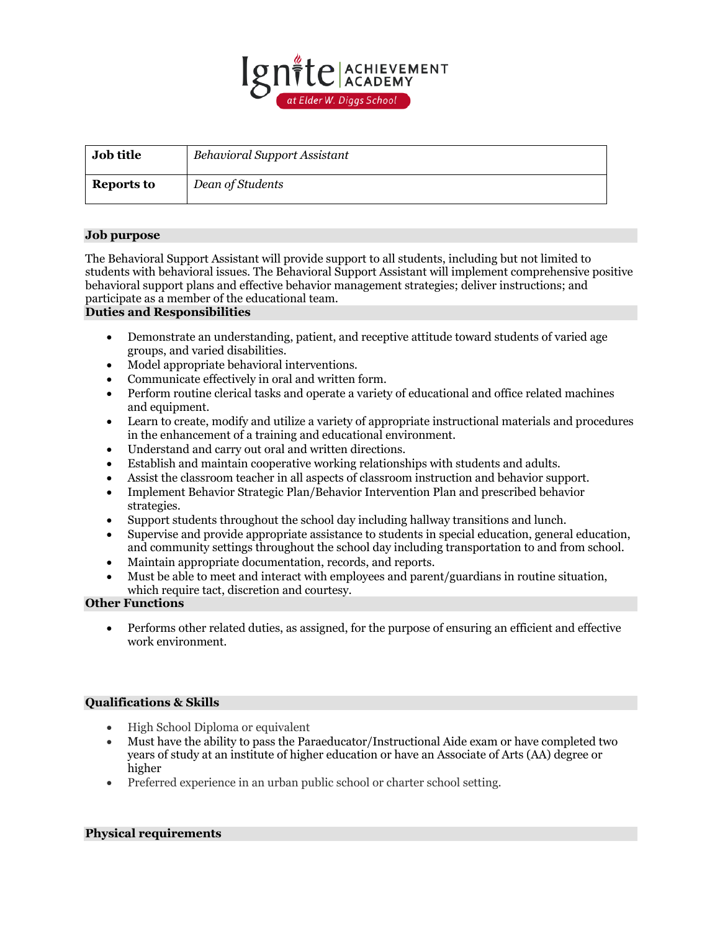

| <b>Job title</b>  | Behavioral Support Assistant |
|-------------------|------------------------------|
| <b>Reports to</b> | Dean of Students             |

## **Job purpose**

The Behavioral Support Assistant will provide support to all students, including but not limited to students with behavioral issues. The Behavioral Support Assistant will implement comprehensive positive behavioral support plans and effective behavior management strategies; deliver instructions; and participate as a member of the educational team.

#### **Duties and Responsibilities**

- Demonstrate an understanding, patient, and receptive attitude toward students of varied age groups, and varied disabilities.
- Model appropriate behavioral interventions.
- Communicate effectively in oral and written form.
- Perform routine clerical tasks and operate a variety of educational and office related machines and equipment.
- Learn to create, modify and utilize a variety of appropriate instructional materials and procedures in the enhancement of a training and educational environment.
- Understand and carry out oral and written directions.
- Establish and maintain cooperative working relationships with students and adults.
- Assist the classroom teacher in all aspects of classroom instruction and behavior support.
- Implement Behavior Strategic Plan/Behavior Intervention Plan and prescribed behavior strategies.
- Support students throughout the school day including hallway transitions and lunch.
- Supervise and provide appropriate assistance to students in special education, general education, and community settings throughout the school day including transportation to and from school.
- Maintain appropriate documentation, records, and reports.
- Must be able to meet and interact with employees and parent/guardians in routine situation, which require tact, discretion and courtesy.

# **Other Functions**

• Performs other related duties, as assigned, for the purpose of ensuring an efficient and effective work environment.

# **Qualifications & Skills**

- High School Diploma or equivalent
- Must have the ability to pass the Paraeducator/Instructional Aide exam or have completed two years of study at an institute of higher education or have an Associate of Arts (AA) degree or higher
- Preferred experience in an urban public school or charter school setting.

## **Physical requirements**